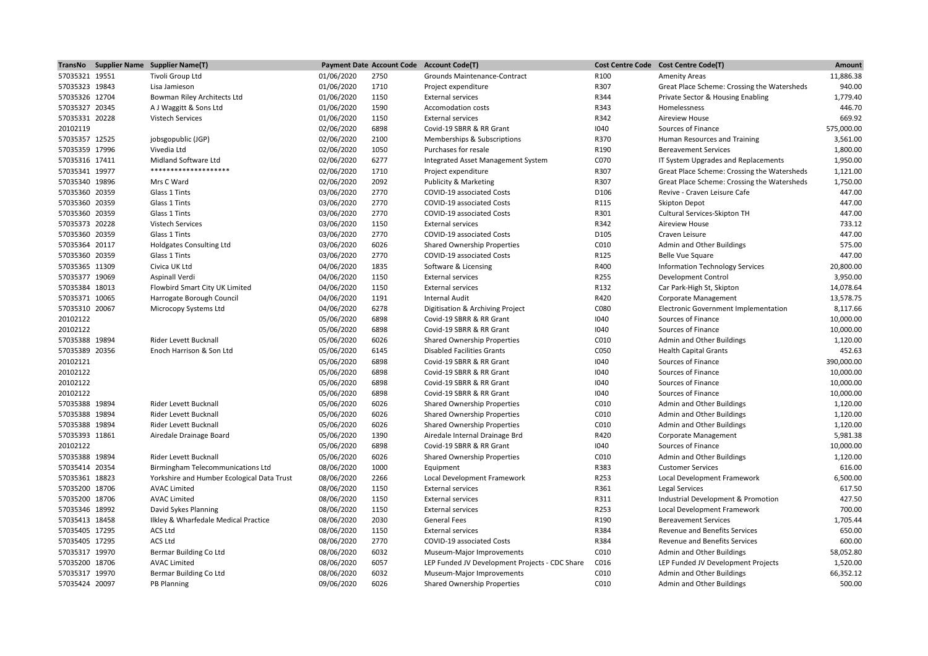|                | TransNo Supplier Name Supplier Name(T)     |            |      | Payment Date Account Code Account Code(T)      |      | Cost Centre Code Cost Centre Code(T)        | Amount     |
|----------------|--------------------------------------------|------------|------|------------------------------------------------|------|---------------------------------------------|------------|
| 57035321 19551 | Tivoli Group Ltd                           | 01/06/2020 | 2750 | Grounds Maintenance-Contract                   | R100 | <b>Amenity Areas</b>                        | 11,886.38  |
| 57035323 19843 | Lisa Jamieson                              | 01/06/2020 | 1710 | Project expenditure                            | R307 | Great Place Scheme: Crossing the Watersheds | 940.00     |
| 57035326 12704 | Bowman Riley Architects Ltd                | 01/06/2020 | 1150 | <b>External services</b>                       | R344 | Private Sector & Housing Enabling           | 1,779.40   |
| 57035327 20345 | A J Waggitt & Sons Ltd                     | 01/06/2020 | 1590 | <b>Accomodation costs</b>                      | R343 | Homelessness                                | 446.70     |
| 57035331 20228 | <b>Vistech Services</b>                    | 01/06/2020 | 1150 | <b>External services</b>                       | R342 | <b>Aireview House</b>                       | 669.92     |
| 20102119       |                                            | 02/06/2020 | 6898 | Covid-19 SBRR & RR Grant                       | 1040 | Sources of Finance                          | 575,000.00 |
| 57035357 12525 | jobsgopublic (JGP)                         | 02/06/2020 | 2100 | Memberships & Subscriptions                    | R370 | Human Resources and Training                | 3,561.00   |
| 57035359 17996 | Vivedia Ltd                                | 02/06/2020 | 1050 | Purchases for resale                           | R190 | <b>Bereavement Services</b>                 | 1,800.00   |
| 57035316 17411 | Midland Software Ltd                       | 02/06/2020 | 6277 | Integrated Asset Management System             | C070 | IT System Upgrades and Replacements         | 1,950.00   |
| 57035341 19977 | ********************                       | 02/06/2020 | 1710 | Project expenditure                            | R307 | Great Place Scheme: Crossing the Watersheds | 1,121.00   |
| 57035340 19896 | Mrs C Ward                                 | 02/06/2020 | 2092 | Publicity & Marketing                          | R307 | Great Place Scheme: Crossing the Watersheds | 1,750.00   |
| 57035360 20359 | Glass 1 Tints                              | 03/06/2020 | 2770 | COVID-19 associated Costs                      | D106 | Revive - Craven Leisure Cafe                | 447.00     |
| 57035360 20359 | Glass 1 Tints                              | 03/06/2020 | 2770 | <b>COVID-19 associated Costs</b>               | R115 | <b>Skipton Depot</b>                        | 447.00     |
| 57035360 20359 | Glass 1 Tints                              | 03/06/2020 | 2770 | COVID-19 associated Costs                      | R301 | Cultural Services-Skipton TH                | 447.00     |
| 57035373 20228 | <b>Vistech Services</b>                    | 03/06/2020 | 1150 | <b>External services</b>                       | R342 | <b>Aireview House</b>                       | 733.12     |
| 57035360 20359 | Glass 1 Tints                              | 03/06/2020 | 2770 | COVID-19 associated Costs                      | D105 | Craven Leisure                              | 447.00     |
| 57035364 20117 | <b>Holdgates Consulting Ltd</b>            | 03/06/2020 | 6026 | Shared Ownership Properties                    | C010 | Admin and Other Buildings                   | 575.00     |
| 57035360 20359 | Glass 1 Tints                              | 03/06/2020 | 2770 | COVID-19 associated Costs                      | R125 | <b>Belle Vue Square</b>                     | 447.00     |
| 57035365 11309 | Civica UK Ltd                              | 04/06/2020 | 1835 | Software & Licensing                           | R400 | <b>Information Technology Services</b>      | 20,800.00  |
| 57035377 19069 | Aspinall Verdi                             | 04/06/2020 | 1150 | <b>External services</b>                       | R255 | <b>Development Control</b>                  | 3,950.00   |
| 57035384 18013 | Flowbird Smart City UK Limited             | 04/06/2020 | 1150 | <b>External services</b>                       | R132 | Car Park-High St, Skipton                   | 14,078.64  |
| 57035371 10065 | Harrogate Borough Council                  | 04/06/2020 | 1191 | <b>Internal Audit</b>                          | R420 | Corporate Management                        | 13,578.75  |
| 57035310 20067 | Microcopy Systems Ltd                      | 04/06/2020 | 6278 | Digitisation & Archiving Project               | C080 | Electronic Government Implementation        | 8,117.66   |
| 20102122       |                                            | 05/06/2020 | 6898 | Covid-19 SBRR & RR Grant                       | 1040 | Sources of Finance                          | 10,000.00  |
| 20102122       |                                            | 05/06/2020 | 6898 | Covid-19 SBRR & RR Grant                       | 1040 | Sources of Finance                          | 10,000.00  |
| 57035388 19894 | Rider Levett Bucknall                      | 05/06/2020 | 6026 | <b>Shared Ownership Properties</b>             | C010 | Admin and Other Buildings                   | 1,120.00   |
| 57035389 20356 | Enoch Harrison & Son Ltd                   | 05/06/2020 | 6145 | <b>Disabled Facilities Grants</b>              | C050 | <b>Health Capital Grants</b>                | 452.63     |
| 20102121       |                                            | 05/06/2020 | 6898 | Covid-19 SBRR & RR Grant                       | 1040 | Sources of Finance                          | 390,000.00 |
| 20102122       |                                            | 05/06/2020 | 6898 | Covid-19 SBRR & RR Grant                       | 1040 | Sources of Finance                          | 10,000.00  |
| 20102122       |                                            | 05/06/2020 | 6898 | Covid-19 SBRR & RR Grant                       | 1040 | Sources of Finance                          | 10,000.00  |
| 20102122       |                                            | 05/06/2020 | 6898 | Covid-19 SBRR & RR Grant                       | 1040 | Sources of Finance                          | 10,000.00  |
| 57035388 19894 | Rider Levett Bucknall                      | 05/06/2020 | 6026 | Shared Ownership Properties                    | C010 | Admin and Other Buildings                   | 1,120.00   |
| 57035388 19894 | Rider Levett Bucknall                      | 05/06/2020 | 6026 | <b>Shared Ownership Properties</b>             | C010 | Admin and Other Buildings                   | 1,120.00   |
| 57035388 19894 | Rider Levett Bucknall                      | 05/06/2020 | 6026 | Shared Ownership Properties                    | C010 | Admin and Other Buildings                   | 1,120.00   |
| 57035393 11861 | Airedale Drainage Board                    | 05/06/2020 | 1390 | Airedale Internal Drainage Brd                 | R420 | Corporate Management                        | 5,981.38   |
| 20102122       |                                            | 05/06/2020 | 6898 | Covid-19 SBRR & RR Grant                       | 1040 | Sources of Finance                          | 10,000.00  |
| 57035388 19894 | Rider Levett Bucknall                      | 05/06/2020 | 6026 | <b>Shared Ownership Properties</b>             | C010 | Admin and Other Buildings                   | 1,120.00   |
| 57035414 20354 | Birmingham Telecommunications Ltd          | 08/06/2020 | 1000 | Equipment                                      | R383 | <b>Customer Services</b>                    | 616.00     |
| 57035361 18823 | Yorkshire and Humber Ecological Data Trust | 08/06/2020 | 2266 | Local Development Framework                    | R253 | Local Development Framework                 | 6,500.00   |
| 57035200 18706 | <b>AVAC Limited</b>                        | 08/06/2020 | 1150 | <b>External services</b>                       | R361 | Legal Services                              | 617.50     |
| 57035200 18706 | <b>AVAC Limited</b>                        | 08/06/2020 | 1150 | <b>External services</b>                       | R311 | Industrial Development & Promotion          | 427.50     |
| 57035346 18992 | David Sykes Planning                       | 08/06/2020 | 1150 | <b>External services</b>                       | R253 | Local Development Framework                 | 700.00     |
| 57035413 18458 | Ilkley & Wharfedale Medical Practice       | 08/06/2020 | 2030 | <b>General Fees</b>                            | R190 | <b>Bereavement Services</b>                 | 1,705.44   |
| 57035405 17295 | <b>ACS Ltd</b>                             | 08/06/2020 | 1150 | <b>External services</b>                       | R384 | Revenue and Benefits Services               | 650.00     |
| 57035405 17295 | <b>ACS Ltd</b>                             | 08/06/2020 | 2770 | COVID-19 associated Costs                      | R384 | Revenue and Benefits Services               | 600.00     |
| 57035317 19970 | Bermar Building Co Ltd                     | 08/06/2020 | 6032 | Museum-Major Improvements                      | C010 | Admin and Other Buildings                   | 58,052.80  |
| 57035200 18706 | <b>AVAC Limited</b>                        | 08/06/2020 | 6057 | LEP Funded JV Development Projects - CDC Share | C016 | LEP Funded JV Development Projects          | 1,520.00   |
| 57035317 19970 | Bermar Building Co Ltd                     | 08/06/2020 | 6032 | Museum-Major Improvements                      | C010 | Admin and Other Buildings                   | 66,352.12  |
| 57035424 20097 | <b>PB Planning</b>                         | 09/06/2020 | 6026 | <b>Shared Ownership Properties</b>             | C010 | Admin and Other Buildings                   | 500.00     |
|                |                                            |            |      |                                                |      |                                             |            |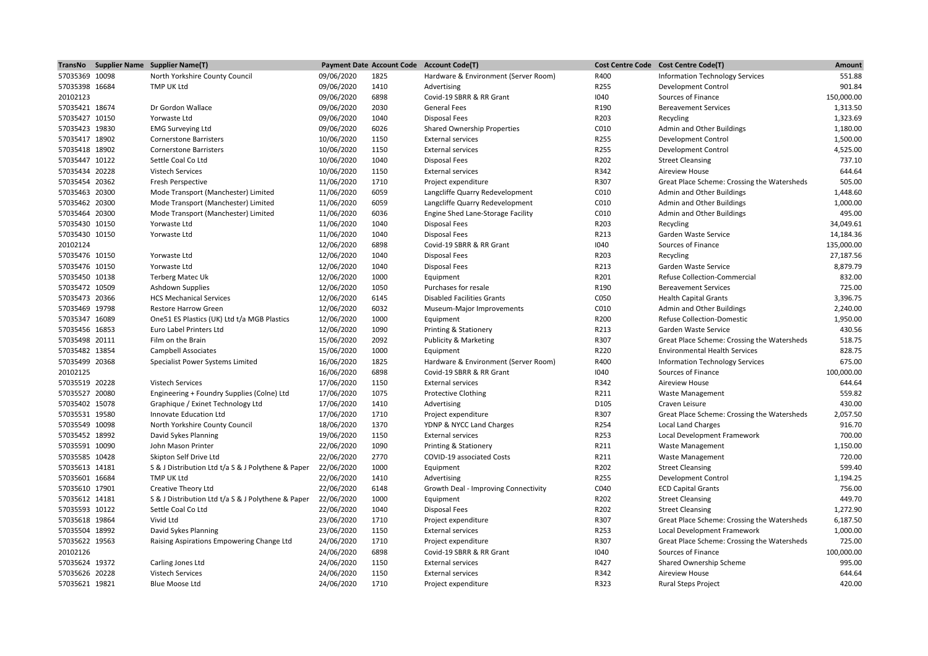|                                  | TransNo Supplier Name Supplier Name(T)                      |                          |              | Payment Date Account Code Account Code(T)            |              | Cost Centre Code Cost Centre Code(T)                         | Amount     |
|----------------------------------|-------------------------------------------------------------|--------------------------|--------------|------------------------------------------------------|--------------|--------------------------------------------------------------|------------|
| 57035369 10098                   | North Yorkshire County Council                              | 09/06/2020               | 1825         | Hardware & Environment (Server Room)                 | R400         | <b>Information Technology Services</b>                       | 551.88     |
| 57035398 16684                   | TMP UK Ltd                                                  | 09/06/2020               | 1410         | Advertising                                          | R255         | <b>Development Control</b>                                   | 901.84     |
| 20102123                         |                                                             | 09/06/2020               | 6898         | Covid-19 SBRR & RR Grant                             | 1040         | Sources of Finance                                           | 150,000.00 |
| 57035421 18674                   | Dr Gordon Wallace                                           | 09/06/2020               | 2030         | <b>General Fees</b>                                  | R190         | <b>Bereavement Services</b>                                  | 1,313.50   |
| 57035427 10150                   | Yorwaste Ltd                                                | 09/06/2020               | 1040         | <b>Disposal Fees</b>                                 | R203         | Recycling                                                    | 1,323.69   |
| 57035423 19830                   | <b>EMG Surveying Ltd</b>                                    | 09/06/2020               | 6026         | <b>Shared Ownership Properties</b>                   | C010         | Admin and Other Buildings                                    | 1,180.00   |
| 57035417 18902                   | <b>Cornerstone Barristers</b>                               | 10/06/2020               | 1150         | <b>External services</b>                             | R255         | Development Control                                          | 1,500.00   |
| 57035418 18902                   | <b>Cornerstone Barristers</b>                               | 10/06/2020               | 1150         | <b>External services</b>                             | R255         | <b>Development Control</b>                                   | 4,525.00   |
| 57035447 10122                   | Settle Coal Co Ltd                                          | 10/06/2020               | 1040         | <b>Disposal Fees</b>                                 | R202         | <b>Street Cleansing</b>                                      | 737.10     |
| 57035434 20228                   | <b>Vistech Services</b>                                     | 10/06/2020               | 1150         | <b>External services</b>                             | R342         | <b>Aireview House</b>                                        | 644.64     |
| 57035454 20362                   | Fresh Perspective                                           | 11/06/2020               | 1710         | Project expenditure                                  | R307         | Great Place Scheme: Crossing the Watersheds                  | 505.00     |
| 57035463 20300                   | Mode Transport (Manchester) Limited                         | 11/06/2020               | 6059         | Langcliffe Quarry Redevelopment                      | C010         | Admin and Other Buildings                                    | 1,448.60   |
| 57035462 20300                   | Mode Transport (Manchester) Limited                         | 11/06/2020               | 6059         | Langcliffe Quarry Redevelopment                      | C010         | Admin and Other Buildings                                    | 1,000.00   |
| 57035464 20300                   | Mode Transport (Manchester) Limited                         | 11/06/2020               | 6036         | Engine Shed Lane-Storage Facility                    | C010         | Admin and Other Buildings                                    | 495.00     |
| 57035430 10150                   | Yorwaste Ltd                                                | 11/06/2020               | 1040         | <b>Disposal Fees</b>                                 | R203         | Recycling                                                    | 34,049.61  |
| 57035430 10150                   | Yorwaste Ltd                                                | 11/06/2020               | 1040         | <b>Disposal Fees</b>                                 | R213         | Garden Waste Service                                         | 14,184.36  |
| 20102124                         |                                                             | 12/06/2020               | 6898         | Covid-19 SBRR & RR Grant                             | 1040         | Sources of Finance                                           | 135,000.00 |
| 57035476 10150                   | Yorwaste Ltd                                                | 12/06/2020               | 1040         | <b>Disposal Fees</b>                                 | R203         | Recycling                                                    | 27,187.56  |
| 57035476 10150                   | Yorwaste Ltd                                                | 12/06/2020               | 1040         | <b>Disposal Fees</b>                                 | R213         | Garden Waste Service                                         | 8,879.79   |
| 57035450 10138                   | <b>Terberg Matec Uk</b>                                     | 12/06/2020               | 1000         | Equipment                                            | R201         | <b>Refuse Collection-Commercial</b>                          | 832.00     |
| 57035472 10509                   | Ashdown Supplies                                            | 12/06/2020               | 1050         | Purchases for resale                                 | R190         | <b>Bereavement Services</b>                                  | 725.00     |
| 57035473 20366                   | <b>HCS Mechanical Services</b>                              | 12/06/2020               | 6145         | <b>Disabled Facilities Grants</b>                    | C050         | <b>Health Capital Grants</b>                                 | 3,396.75   |
| 57035469 19798                   | <b>Restore Harrow Green</b>                                 | 12/06/2020               | 6032         | Museum-Major Improvements                            | C010         | Admin and Other Buildings                                    | 2,240.00   |
| 57035347 16089                   | One 51 ES Plastics (UK) Ltd t/a MGB Plastics                | 12/06/2020               | 1000         | Equipment                                            | R200         | <b>Refuse Collection-Domestic</b>                            | 1,950.00   |
| 57035456 16853                   | Euro Label Printers Ltd                                     | 12/06/2020               | 1090         | Printing & Stationery                                | R213         | Garden Waste Service                                         | 430.56     |
| 57035498 20111                   | Film on the Brain                                           | 15/06/2020               | 2092         | <b>Publicity &amp; Marketing</b>                     | R307         | Great Place Scheme: Crossing the Watersheds                  | 518.75     |
| 57035482 13854                   | Campbell Associates                                         | 15/06/2020               | 1000         | Equipment                                            | R220         | <b>Environmental Health Services</b>                         | 828.75     |
| 57035499 20368                   |                                                             | 16/06/2020               | 1825         | Hardware & Environment (Server Room)                 | R400         |                                                              | 675.00     |
| 20102125                         | Specialist Power Systems Limited                            | 16/06/2020               | 6898         | Covid-19 SBRR & RR Grant                             | 1040         | <b>Information Technology Services</b><br>Sources of Finance | 100,000.00 |
| 57035519 20228                   | <b>Vistech Services</b>                                     | 17/06/2020               | 1150         | <b>External services</b>                             | R342         | Aireview House                                               | 644.64     |
| 57035527 20080                   | Engineering + Foundry Supplies (Colne) Ltd                  | 17/06/2020               | 1075         | <b>Protective Clothing</b>                           | R211         | Waste Management                                             | 559.82     |
| 57035402 15078                   |                                                             | 17/06/2020               | 1410         |                                                      | D105         | Craven Leisure                                               | 430.00     |
| 57035531 19580                   | Graphique / Exinet Technology Ltd<br>Innovate Education Ltd | 17/06/2020               | 1710         | Advertising                                          | R307         |                                                              | 2,057.50   |
|                                  |                                                             |                          |              | Project expenditure                                  |              | Great Place Scheme: Crossing the Watersheds                  | 916.70     |
| 57035549 10098<br>57035452 18992 | North Yorkshire County Council<br>David Sykes Planning      | 18/06/2020<br>19/06/2020 | 1370<br>1150 | YDNP & NYCC Land Charges<br><b>External services</b> | R254<br>R253 | <b>Local Land Charges</b><br>Local Development Framework     | 700.00     |
|                                  |                                                             |                          |              |                                                      |              |                                                              |            |
| 57035591 10090                   | John Mason Printer                                          | 22/06/2020               | 1090         | Printing & Stationery                                | R211<br>R211 | <b>Waste Management</b>                                      | 1,150.00   |
| 57035585 10428                   | Skipton Self Drive Ltd                                      | 22/06/2020               | 2770         | COVID-19 associated Costs                            |              | Waste Management                                             | 720.00     |
| 57035613 14181                   | S & J Distribution Ltd t/a S & J Polythene & Paper          | 22/06/2020               | 1000         | Equipment                                            | R202         | <b>Street Cleansing</b>                                      | 599.40     |
| 57035601 16684                   | TMP UK Ltd                                                  | 22/06/2020               | 1410         | Advertising                                          | R255         | <b>Development Control</b>                                   | 1,194.25   |
| 57035610 17901                   | Creative Theory Ltd                                         | 22/06/2020               | 6148         | Growth Deal - Improving Connectivity                 | C040         | <b>ECD Capital Grants</b>                                    | 756.00     |
| 57035612 14181                   | S & J Distribution Ltd t/a S & J Polythene & Paper          | 22/06/2020               | 1000         | Equipment                                            | R202         | <b>Street Cleansing</b>                                      | 449.70     |
| 57035593 10122                   | Settle Coal Co Ltd                                          | 22/06/2020               | 1040         | <b>Disposal Fees</b>                                 | R202         | <b>Street Cleansing</b>                                      | 1,272.90   |
| 57035618 19864                   | Vivid Ltd                                                   | 23/06/2020               | 1710         | Project expenditure                                  | R307         | Great Place Scheme: Crossing the Watersheds                  | 6,187.50   |
| 57035504 18992                   | David Sykes Planning                                        | 23/06/2020               | 1150         | <b>External services</b>                             | R253         | Local Development Framework                                  | 1,000.00   |
| 57035622 19563                   | Raising Aspirations Empowering Change Ltd                   | 24/06/2020               | 1710         | Project expenditure                                  | R307         | Great Place Scheme: Crossing the Watersheds                  | 725.00     |
| 20102126                         |                                                             | 24/06/2020               | 6898         | Covid-19 SBRR & RR Grant                             | 1040         | Sources of Finance                                           | 100,000.00 |
| 57035624 19372                   | Carling Jones Ltd                                           | 24/06/2020               | 1150         | <b>External services</b>                             | R427         | Shared Ownership Scheme                                      | 995.00     |
| 57035626 20228                   | Vistech Services                                            | 24/06/2020               | 1150         | <b>External services</b>                             | R342         | Aireview House                                               | 644.64     |
| 57035621 19821                   | <b>Blue Moose Ltd</b>                                       | 24/06/2020               | 1710         | Project expenditure                                  | R323         | <b>Rural Steps Project</b>                                   | 420.00     |